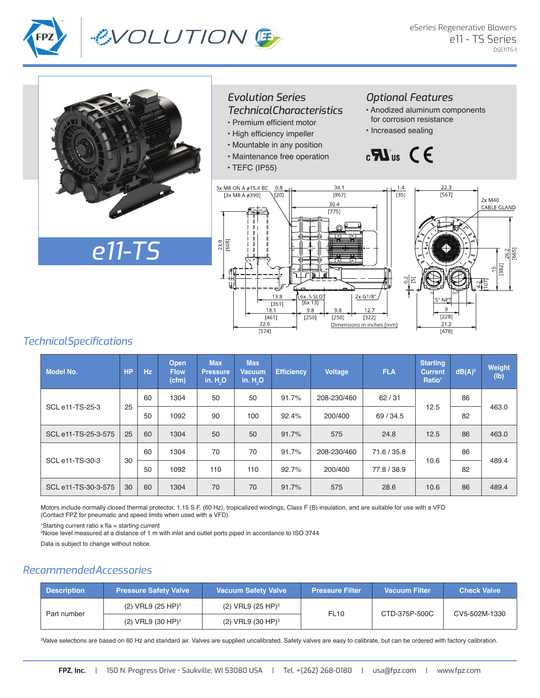

# EVOLUTION E

 $55$  $26.2$  $[382]$  $\sqrt{2}$ 



#### *Evolution Series Technical Characteristics*

- Premium efficient motor
- High efficiency impeller
- Mountable in any position
- Maintenance free operation
- TEFC (IP55)

### *Optional Features*

- Anodized aluminum components for corrosion resistance
- Increased sealing

## $\mathbf{B}$   $\mathbf{B}$   $\mathbf{B}$   $\mathbf{B}$



### *Technical Specifications*

| <b>Model No.</b>    | <b>HP</b> | Hz | Open<br><b>Flow</b><br>(cfm) | <b>Max</b><br><b>Pressure</b><br>in. $H2O$ | <b>Max</b><br><b>Vacuum</b><br>in. $H2O$ | <b>Efficiency</b> | <b>Voltage</b> | <b>FLA</b>  | <b>Starting</b><br><b>Current</b><br>Ratio <sup>1</sup> | $dB(A)^2$ | Weight<br>(Ib) |
|---------------------|-----------|----|------------------------------|--------------------------------------------|------------------------------------------|-------------------|----------------|-------------|---------------------------------------------------------|-----------|----------------|
| SCL e11-TS-25-3     | 25        | 60 | 1304                         | 50                                         | 50                                       | 91.7%             | 208-230/460    | 62/31       | 12.5                                                    | 86        | 463.0          |
|                     |           | 50 | 1092                         | 90                                         | 100                                      | 92.4%             | 200/400        | 69 / 34.5   |                                                         | 82        |                |
| SCL e11-TS-25-3-575 | 25        | 60 | 1304                         | 50                                         | 50                                       | 91.7%             | 575            | 24.8        | 12.5                                                    | 86        | 463.0          |
| SCL e11-TS-30-3     | 30        | 60 | 1304                         | 70                                         | 70                                       | 91.7%             | 208-230/460    | 71.6 / 35.8 | 10.6                                                    | 86        | 489.4          |
|                     |           | 50 | 1092                         | 110                                        | 110                                      | 92.7%             | 200/400        | 77.8 / 38.9 |                                                         | 82        |                |
| SCL e11-TS-30-3-575 | 30        | 60 | 1304                         | 70                                         | 70                                       | 91.7%             | 575            | 28.6        | 10.6                                                    | 86        | 489.4          |

Motors include normally closed thermal protector, 1.15 S.F. (60 Hz), tropicalized windings, Class F (B) insulation, and are suitable for use with a VFD (Contact FPZ for pneumatic and speed limits when used with a VFD).

1 Starting current ratio x fla = starting current

2 Noise level measured at a distance of 1 m with inlet and outlet ports piped in accordance to ISO 3744

Data is subject to change without notice.

### *Recommended Accessories*

| <b>Description</b> | <b>Pressure Safety Valve</b> | <b>Vacuum Safety Valve</b> | <b>Pressure Filter</b> | <b>Vacuum Filter</b> | <b>Check Valve</b> |
|--------------------|------------------------------|----------------------------|------------------------|----------------------|--------------------|
| Part number        | $(2)$ VRL9 $(25$ HP $)^3$    | $(2)$ VRL9 $(25$ HP $)^3$  | <b>FL10</b>            | CTD-375P-500C        | CV5-502M-1330      |
|                    | $(2)$ VRL9 $(30$ HP $)^3$    | $(2)$ VRL9 $(30$ HP $)^3$  |                        |                      |                    |

3 Valve selections are based on 60 Hz and standard air. Valves are supplied uncalibrated. Safety valves are easy to calibrate, but can be ordered with factory calibration.